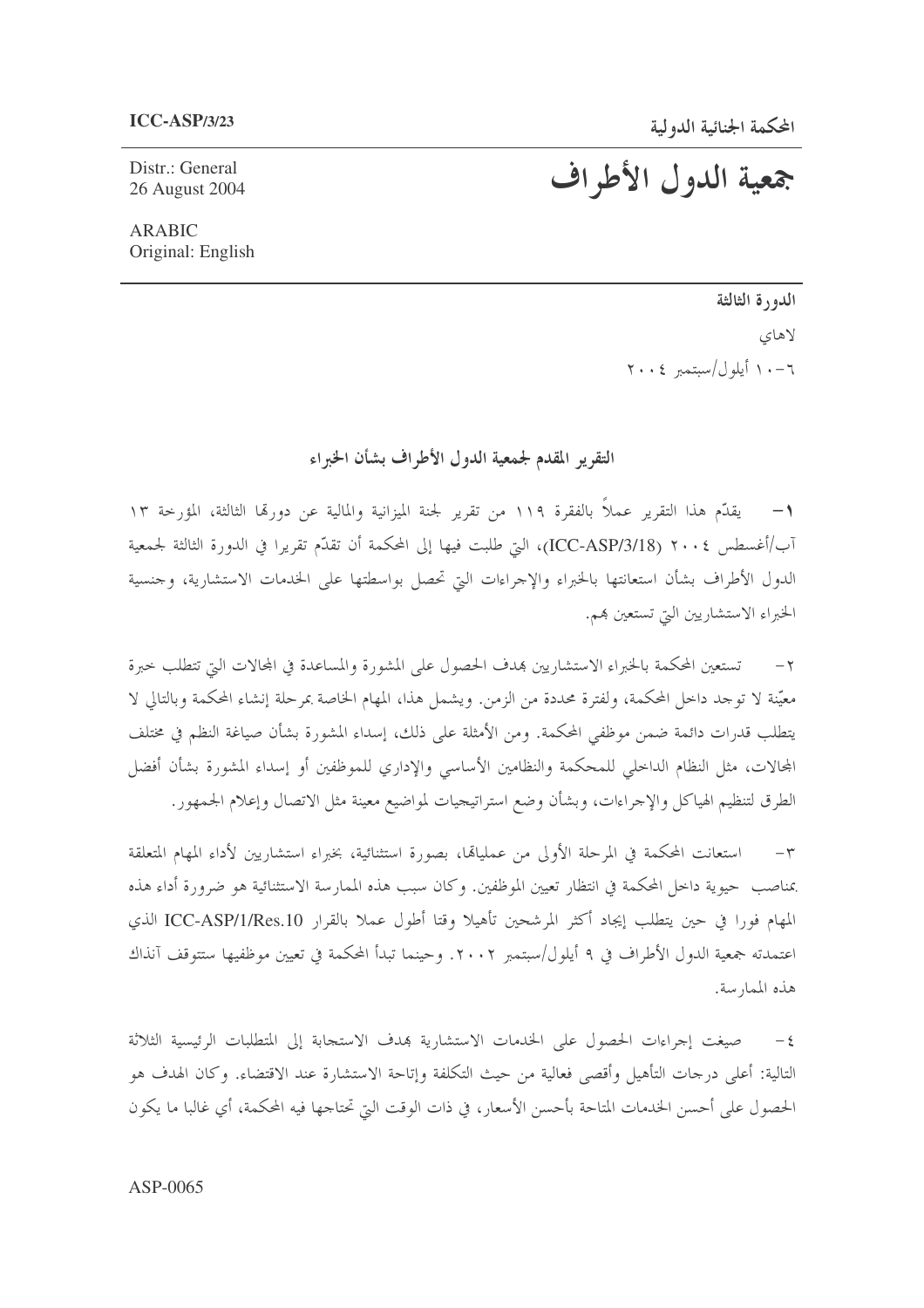Distr.: General 26 August 2004 جمعية الدول الأطراف

**ARABIC** Original: English

> الدورة الثالثة لاهای  $\gamma \cdot \epsilon$  أبلول/ستمبر ٢٠٠٤

التقرير المقدم لجمعية الدول الأطراف بشأن الخبراء

يقدّم هذا التقرير عملاً بالفقرة ١١٩ من تقرير لجنة الميزانية والمالية عن دورقما الثالثة، المؤرخة ١٣  $-1$ آب/أغسطس ٢٠٠٤ (ICC-ASP/3/18)، التي طلبت فيها إلى المحكمة أن تقدَّم تقريرا في الدورة الثالثة لجمعية الدول الأطراف بشأن استعانتها بالخبراء والإجراءات التي تحصل بواسطتها على الخدمات الاستشارية، وجنسية الخبراء الاستشاريين التي تستعين بهم.

تستعين المحكمة بالخبراء الاستشاريين بمدف الحصول على المشورة والمساعدة في المحالات التي تتطلب حبرة  $-7$ معيّنة لا توجد داخل المحكمة، ولفترة محددة من الزمن. ويشمل هذا، المهام الخاصة بمرحلة إنشاء المحكمة وبالتالي لا يتطلب قدرات دائمة ضمن موظفى المحكمة. ومن الأمثلة على ذلك، إسداء المشورة بشأن صياغة النظم في مختلف المحالات، مثل النظام الداحلي للمحكمة والنظامين الأساسي والإداري للموظفين أو إسداء المشورة بشأن أفضل الطرق لتنظيم الهياكل والإحراءات، وبشأن وضع استراتيجيات لمواضيع معينة مثل الاتصال وإعلام الجمهور.

استعانت المحكمة في المرحلة الأولى من عمليالها، بصورة استثنائية، بخبراء استشاريين لأداء المهام المتعلقة  $-\tau$ بمناصب حيوية داخل المحكمة في انتظار تعيين الموظفين. وكان سبب هذه الممارسة الاستثنائية هو ضرورة أداء هذه المهام فورا في حين يتطلب إيجاد أكثر المرشحين تأهيلا وقتا أطول عملا بالقرار ICC-ASP/1/Res.10 الذي اعتمدته جمعية الدول الأطراف في ٩ أيلول/سبتمبر ٢٠٠٢. وحينما تبدأ المحكمة في تعيين موظفيها ستتوقف آنذاك هذه الممارسة.

٤- صيغت إجراءات الحصول على الخدمات الاستشارية بمدف الاستجابة إلى المتطلبات الرئيسية الثلاثة التالية: أعلى درجات التأهيل وأقصى فعالية من حيث التكلفة وإتاحة الاستشارة عند الاقتضاء. وكان الهدف هو الحصول على أحسن الخدمات المتاحة بأحسن الأسعار، في ذات الوقت التي تحتاجها فيه المحكمة، أي غالبا ما يكون

## ASP-0065